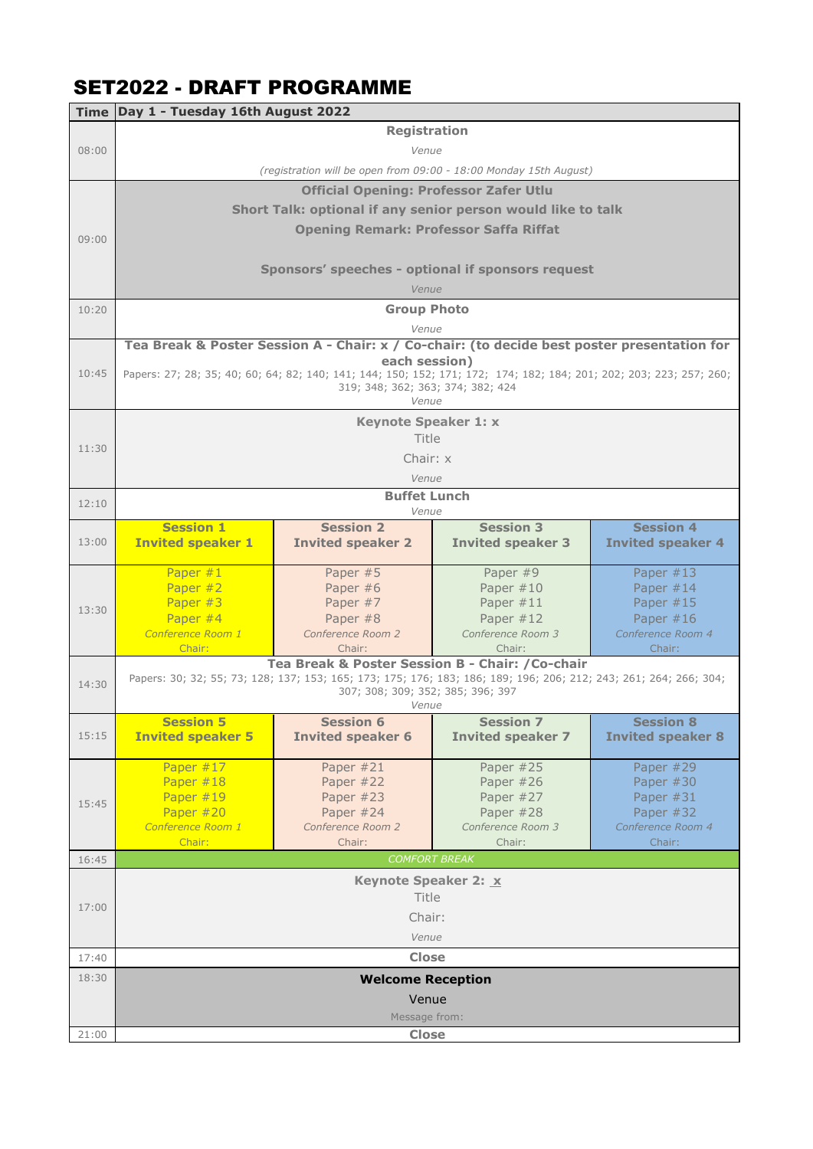## SET2022 - DRAFT PROGRAMME

|                                                                   | Time Day 1 - Tuesday 16th August 2022                                                       |                                                  |                                                                                                                     |                          |  |
|-------------------------------------------------------------------|---------------------------------------------------------------------------------------------|--------------------------------------------------|---------------------------------------------------------------------------------------------------------------------|--------------------------|--|
|                                                                   | <b>Registration</b>                                                                         |                                                  |                                                                                                                     |                          |  |
| 08:00                                                             | Venue                                                                                       |                                                  |                                                                                                                     |                          |  |
|                                                                   | (registration will be open from 09:00 - 18:00 Monday 15th August)                           |                                                  |                                                                                                                     |                          |  |
|                                                                   | <b>Official Opening: Professor Zafer Utlu</b>                                               |                                                  |                                                                                                                     |                          |  |
|                                                                   |                                                                                             |                                                  | Short Talk: optional if any senior person would like to talk                                                        |                          |  |
|                                                                   |                                                                                             |                                                  |                                                                                                                     |                          |  |
| 09:00                                                             |                                                                                             | <b>Opening Remark: Professor Saffa Riffat</b>    |                                                                                                                     |                          |  |
|                                                                   |                                                                                             |                                                  |                                                                                                                     |                          |  |
|                                                                   | Sponsors' speeches - optional if sponsors request                                           |                                                  |                                                                                                                     |                          |  |
|                                                                   | Venue                                                                                       |                                                  |                                                                                                                     |                          |  |
| 10:20                                                             |                                                                                             | <b>Group Photo</b>                               |                                                                                                                     |                          |  |
|                                                                   | Venue                                                                                       |                                                  |                                                                                                                     |                          |  |
|                                                                   | Tea Break & Poster Session A - Chair: x / Co-chair: (to decide best poster presentation for |                                                  |                                                                                                                     |                          |  |
| 10:45                                                             |                                                                                             | each session)                                    | Papers: 27; 28; 35; 40; 60; 64; 82; 140; 141; 144; 150; 152; 171; 172; 174; 182; 184; 201; 202; 203; 223; 257; 260; |                          |  |
|                                                                   |                                                                                             | 319; 348; 362; 363; 374; 382; 424                |                                                                                                                     |                          |  |
|                                                                   | Venue                                                                                       |                                                  |                                                                                                                     |                          |  |
|                                                                   |                                                                                             | <b>Keynote Speaker 1: x</b>                      |                                                                                                                     |                          |  |
| 11:30                                                             |                                                                                             | Title                                            |                                                                                                                     |                          |  |
|                                                                   |                                                                                             | Chair: x                                         |                                                                                                                     |                          |  |
|                                                                   | Venue                                                                                       |                                                  |                                                                                                                     |                          |  |
| 12:10                                                             | <b>Buffet Lunch</b>                                                                         |                                                  |                                                                                                                     |                          |  |
|                                                                   | <b>Session 1</b>                                                                            | Venue<br><b>Session 2</b>                        | <b>Session 3</b>                                                                                                    | <b>Session 4</b>         |  |
| 13:00                                                             | <b>Invited speaker 1</b>                                                                    | <b>Invited speaker 2</b>                         | <b>Invited speaker 3</b>                                                                                            | <b>Invited speaker 4</b> |  |
|                                                                   |                                                                                             |                                                  |                                                                                                                     |                          |  |
|                                                                   | Paper #1                                                                                    | Paper #5                                         | Paper #9                                                                                                            | Paper $#13$              |  |
|                                                                   | Paper #2                                                                                    | Paper #6                                         | Paper $#10$                                                                                                         | Paper $#14$              |  |
| 13:30                                                             | Paper #3                                                                                    | Paper #7                                         | Paper #11                                                                                                           | Paper $#15$              |  |
|                                                                   | Paper #4                                                                                    | Paper #8                                         | Paper $#12$                                                                                                         | Paper $#16$              |  |
|                                                                   | Conference Room 1<br>Chair:                                                                 | Conference Room 2<br>Chair:                      | Conference Room 3                                                                                                   | Conference Room 4        |  |
|                                                                   |                                                                                             | Tea Break & Poster Session B - Chair: / Co-chair | Chair:                                                                                                              | Chair:                   |  |
| 14:30                                                             |                                                                                             |                                                  | Papers: 30; 32; 55; 73; 128; 137; 153; 165; 173; 175; 176; 183; 186; 189; 196; 206; 212; 243; 261; 264; 266; 304;   |                          |  |
|                                                                   |                                                                                             | 307; 308; 309; 352; 385; 396; 397                |                                                                                                                     |                          |  |
| Venue<br><b>Session 5</b><br><b>Session 6</b><br><b>Session 7</b> |                                                                                             |                                                  |                                                                                                                     | <b>Session 8</b>         |  |
| 15:15                                                             | <b>Invited speaker 5</b>                                                                    | <b>Invited speaker 6</b>                         | <b>Invited speaker 7</b>                                                                                            | <b>Invited speaker 8</b> |  |
|                                                                   |                                                                                             |                                                  |                                                                                                                     |                          |  |
|                                                                   | Paper #17                                                                                   | Paper #21                                        | Paper #25                                                                                                           | Paper #29                |  |
|                                                                   | Paper #18                                                                                   | Paper #22                                        | Paper #26                                                                                                           | Paper #30                |  |
| 15:45                                                             | Paper #19                                                                                   | Paper #23                                        | Paper #27                                                                                                           | Paper #31                |  |
|                                                                   | Paper #20                                                                                   | Paper #24                                        | Paper #28                                                                                                           | Paper #32                |  |
|                                                                   | Conference Room 1                                                                           | Conference Room 2                                | Conference Room 3                                                                                                   | Conference Room 4        |  |
|                                                                   | Chair:                                                                                      | Chair:<br><b>COMFORT BREAK</b>                   | Chair:                                                                                                              | Chair:                   |  |
| 16:45                                                             |                                                                                             |                                                  |                                                                                                                     |                          |  |
|                                                                   |                                                                                             | Keynote Speaker 2: X                             |                                                                                                                     |                          |  |
| 17:00                                                             | Title<br>Chair:<br>Venue                                                                    |                                                  |                                                                                                                     |                          |  |
|                                                                   |                                                                                             |                                                  |                                                                                                                     |                          |  |
|                                                                   |                                                                                             |                                                  |                                                                                                                     |                          |  |
| 17:40                                                             | <b>Close</b>                                                                                |                                                  |                                                                                                                     |                          |  |
| 18:30                                                             |                                                                                             | <b>Welcome Reception</b>                         |                                                                                                                     |                          |  |
|                                                                   | Venue                                                                                       |                                                  |                                                                                                                     |                          |  |
|                                                                   | Message from:                                                                               |                                                  |                                                                                                                     |                          |  |
| 21:00                                                             | <b>Close</b>                                                                                |                                                  |                                                                                                                     |                          |  |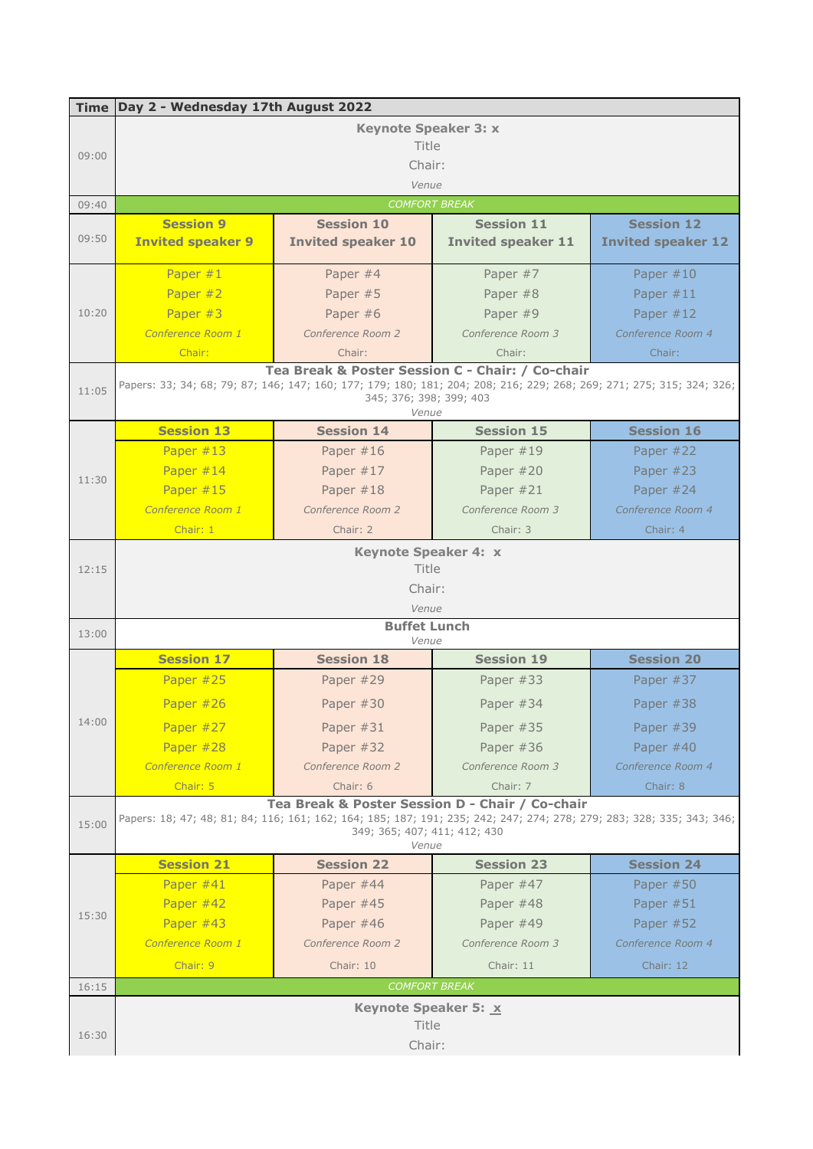|       | Time Day 2 - Wednesday 17th August 2022 |                                                  |                                                                                                                       |                           |  |
|-------|-----------------------------------------|--------------------------------------------------|-----------------------------------------------------------------------------------------------------------------------|---------------------------|--|
|       | <b>Keynote Speaker 3: x</b>             |                                                  |                                                                                                                       |                           |  |
|       | Title                                   |                                                  |                                                                                                                       |                           |  |
| 09:00 |                                         | Chair:                                           |                                                                                                                       |                           |  |
|       | Venue                                   |                                                  |                                                                                                                       |                           |  |
| 09:40 |                                         | <b>COMFORT BREAK</b>                             |                                                                                                                       |                           |  |
|       | <b>Session 9</b>                        | <b>Session 10</b>                                | <b>Session 11</b>                                                                                                     | <b>Session 12</b>         |  |
| 09:50 | <b>Invited speaker 9</b>                | <b>Invited speaker 10</b>                        | <b>Invited speaker 11</b>                                                                                             | <b>Invited speaker 12</b> |  |
|       |                                         |                                                  |                                                                                                                       |                           |  |
|       | Paper $#1$                              | Paper #4                                         | Paper #7                                                                                                              | Paper $#10$               |  |
|       | Paper #2                                | Paper #5                                         | Paper #8                                                                                                              | Paper $#11$               |  |
| 10:20 | Paper #3                                | Paper #6                                         | Paper #9                                                                                                              | Paper $#12$               |  |
|       | Conference Room 1                       | Conference Room 2                                | Conference Room 3                                                                                                     | Conference Room 4         |  |
|       | Chair:                                  | Chair:                                           | Chair:                                                                                                                | Chair:                    |  |
|       |                                         | Tea Break & Poster Session C - Chair: / Co-chair |                                                                                                                       |                           |  |
| 11:05 |                                         |                                                  | Papers: 33; 34; 68; 79; 87; 146; 147; 160; 177; 179; 180; 181; 204; 208; 216; 229; 268; 269; 271; 275; 315; 324; 326; |                           |  |
|       | 345; 376; 398; 399; 403<br>Venue        |                                                  |                                                                                                                       |                           |  |
|       | <b>Session 13</b>                       | <b>Session 14</b>                                | <b>Session 15</b>                                                                                                     | <b>Session 16</b>         |  |
|       | Paper #13                               | Paper $#16$                                      | Paper $#19$                                                                                                           | Paper #22                 |  |
| 11:30 | Paper #14                               | Paper #17                                        | Paper #20                                                                                                             | Paper #23                 |  |
|       | Paper #15                               | Paper #18                                        | Paper #21                                                                                                             | Paper $#24$               |  |
|       | Conference Room 1                       | Conference Room 2                                | Conference Room 3                                                                                                     | Conference Room 4         |  |
|       | Chair: 1                                | Chair: 2                                         | Chair: 3                                                                                                              | Chair: 4                  |  |
|       | <b>Keynote Speaker 4: x</b>             |                                                  |                                                                                                                       |                           |  |
| 12:15 | Title                                   |                                                  |                                                                                                                       |                           |  |
|       | Chair:                                  |                                                  |                                                                                                                       |                           |  |
|       | Venue                                   |                                                  |                                                                                                                       |                           |  |
| 13:00 |                                         | <b>Buffet Lunch</b>                              |                                                                                                                       |                           |  |
|       |                                         | Venue                                            |                                                                                                                       |                           |  |
|       | <b>Session 17</b>                       | <b>Session 18</b>                                | <b>Session 19</b>                                                                                                     | <b>Session 20</b>         |  |
|       | Paper #25                               | Paper #29                                        | Paper #33                                                                                                             | Paper #37                 |  |
|       | Paper #26                               | Paper #30                                        | Paper #34                                                                                                             | Paper #38                 |  |
| 14:00 | Paper #27                               | Paper $#31$                                      | Paper #35                                                                                                             | Paper #39                 |  |
|       | Paper #28                               | Paper #32                                        | Paper #36                                                                                                             | Paper #40                 |  |
|       | Conference Room 1                       | Conference Room 2                                | Conference Room 3                                                                                                     | Conference Room 4         |  |
|       | Chair: 5                                | Chair: 6                                         | Chair: 7                                                                                                              | Chair: 8                  |  |
|       |                                         | Tea Break & Poster Session D - Chair / Co-chair  |                                                                                                                       |                           |  |
| 15:00 |                                         |                                                  | Papers: 18; 47; 48; 81; 84; 116; 161; 162; 164; 185; 187; 191; 235; 242; 247; 274; 278; 279; 283; 328; 335; 343; 346; |                           |  |
|       | 349; 365; 407; 411; 412; 430<br>Venue   |                                                  |                                                                                                                       |                           |  |
|       | <b>Session 21</b>                       | <b>Session 22</b>                                | <b>Session 23</b>                                                                                                     | <b>Session 24</b>         |  |
|       | Paper #41                               | Paper #44                                        | Paper #47                                                                                                             | Paper $#50$               |  |
|       | Paper #42                               | Paper #45                                        | Paper #48                                                                                                             | Paper #51                 |  |
| 15:30 | Paper #43                               | Paper #46                                        | Paper #49                                                                                                             | Paper #52                 |  |
|       | Conference Room 1                       | Conference Room 2                                | Conference Room 3                                                                                                     | Conference Room 4         |  |
|       | Chair: 9                                | Chair: 10                                        | Chair: 11                                                                                                             | Chair: 12                 |  |
| 16:15 |                                         | <b>COMFORT BREAK</b>                             |                                                                                                                       |                           |  |
|       |                                         |                                                  |                                                                                                                       |                           |  |
|       |                                         | Keynote Speaker 5: X                             |                                                                                                                       |                           |  |
| 16:30 | Title                                   |                                                  |                                                                                                                       |                           |  |
|       | Chair:                                  |                                                  |                                                                                                                       |                           |  |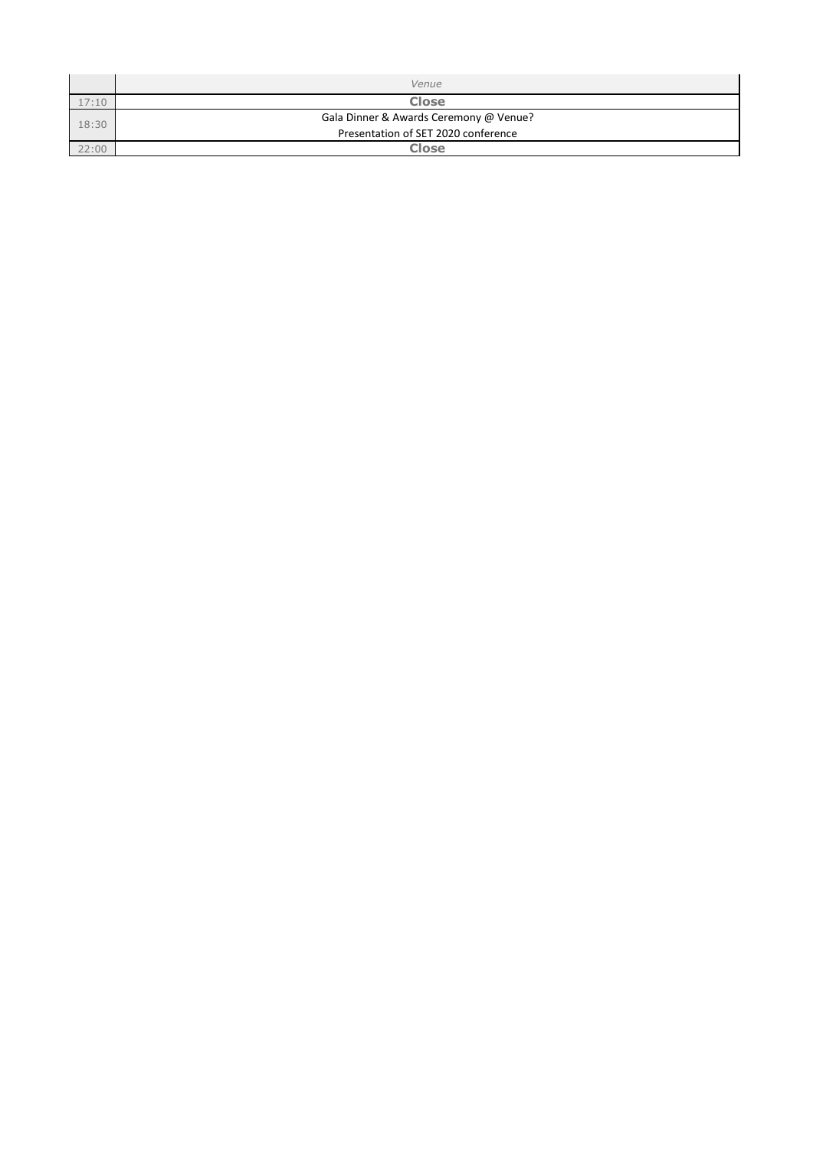|       | Venue                                  |
|-------|----------------------------------------|
| 17:10 | <b>Close</b>                           |
| 18:30 | Gala Dinner & Awards Ceremony @ Venue? |
|       | Presentation of SET 2020 conference    |
| 22:00 | <b>Close</b>                           |